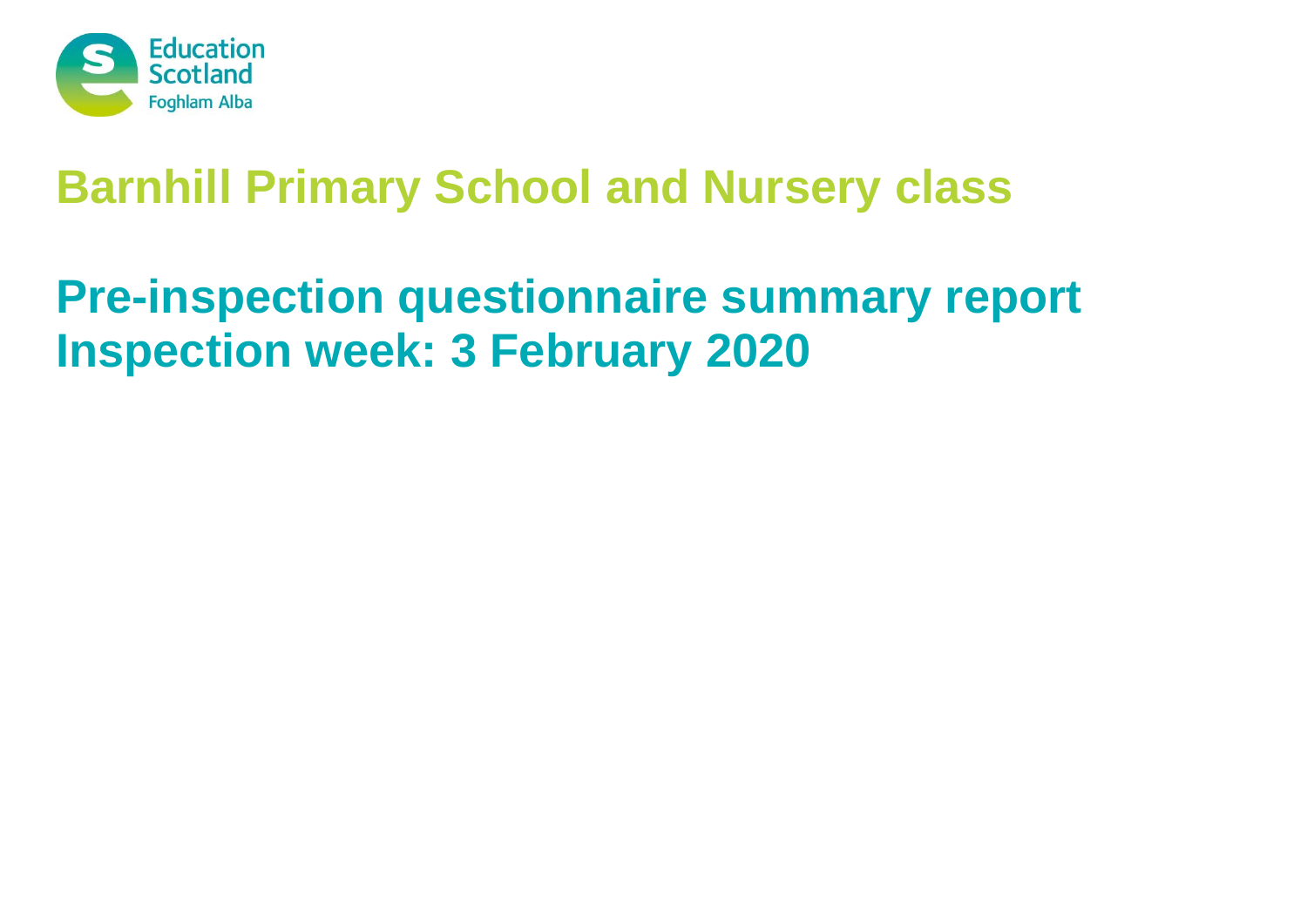

# **Barnhill Primary School and Nursery class**

# **Pre-inspection questionnaire summary report Inspection week: 3 February 2020**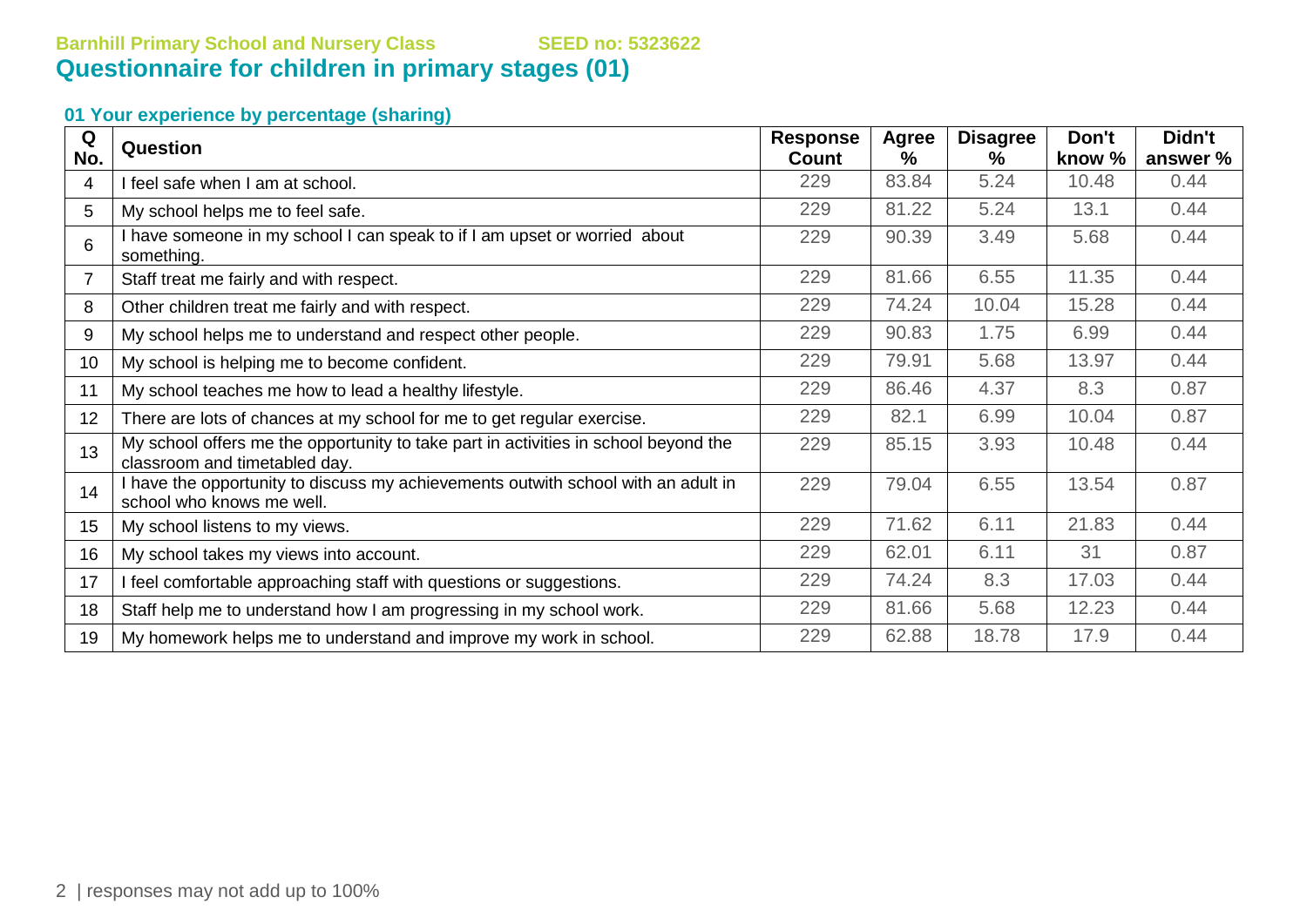# **Barnhill Primary School and Nursery Class SEED no: 5323622 Questionnaire for children in primary stages (01)**

| Q   | <b>Question</b>                                                                                                      | <b>Response</b> | Agree | <b>Disagree</b> | Don't  | Didn't   |
|-----|----------------------------------------------------------------------------------------------------------------------|-----------------|-------|-----------------|--------|----------|
| No. |                                                                                                                      | Count           | $\%$  | %               | know % | answer % |
| 4   | I feel safe when I am at school.                                                                                     | 229             | 83.84 | 5.24            | 10.48  | 0.44     |
| 5   | My school helps me to feel safe.                                                                                     | 229             | 81.22 | 5.24            | 13.1   | 0.44     |
| 6   | I have someone in my school I can speak to if I am upset or worried about<br>something.                              | 229             | 90.39 | 3.49            | 5.68   | 0.44     |
|     | Staff treat me fairly and with respect.                                                                              | 229             | 81.66 | 6.55            | 11.35  | 0.44     |
| 8   | Other children treat me fairly and with respect.                                                                     | 229             | 74.24 | 10.04           | 15.28  | 0.44     |
| 9   | My school helps me to understand and respect other people.                                                           | 229             | 90.83 | 1.75            | 6.99   | 0.44     |
| 10  | My school is helping me to become confident.                                                                         | 229             | 79.91 | 5.68            | 13.97  | 0.44     |
| 11  | My school teaches me how to lead a healthy lifestyle.                                                                | 229             | 86.46 | 4.37            | 8.3    | 0.87     |
| 12  | There are lots of chances at my school for me to get regular exercise.                                               | 229             | 82.1  | 6.99            | 10.04  | 0.87     |
| 13  | My school offers me the opportunity to take part in activities in school beyond the<br>classroom and timetabled day. | 229             | 85.15 | 3.93            | 10.48  | 0.44     |
| 14  | I have the opportunity to discuss my achievements outwith school with an adult in<br>school who knows me well.       | 229             | 79.04 | 6.55            | 13.54  | 0.87     |
| 15  | My school listens to my views.                                                                                       | 229             | 71.62 | 6.11            | 21.83  | 0.44     |
| 16  | My school takes my views into account.                                                                               | 229             | 62.01 | 6.11            | 31     | 0.87     |
| 17  | I feel comfortable approaching staff with questions or suggestions.                                                  | 229             | 74.24 | 8.3             | 17.03  | 0.44     |
| 18  | Staff help me to understand how I am progressing in my school work.                                                  | 229             | 81.66 | 5.68            | 12.23  | 0.44     |
| 19  | My homework helps me to understand and improve my work in school.                                                    | 229             | 62.88 | 18.78           | 17.9   | 0.44     |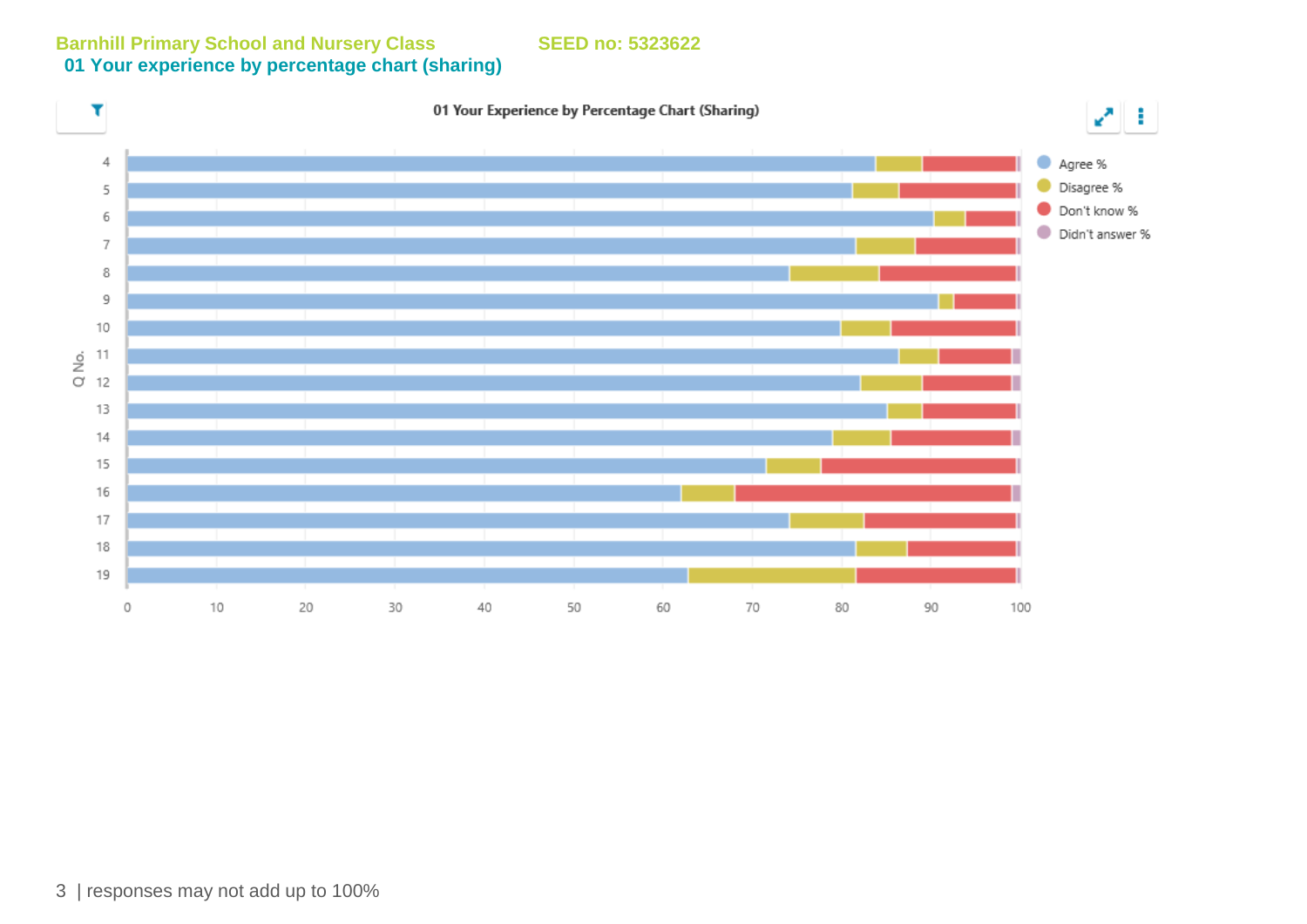**Barnhill Primary School and Nursery Class SEED no: 5323622 01 Your experience by percentage chart (sharing)**

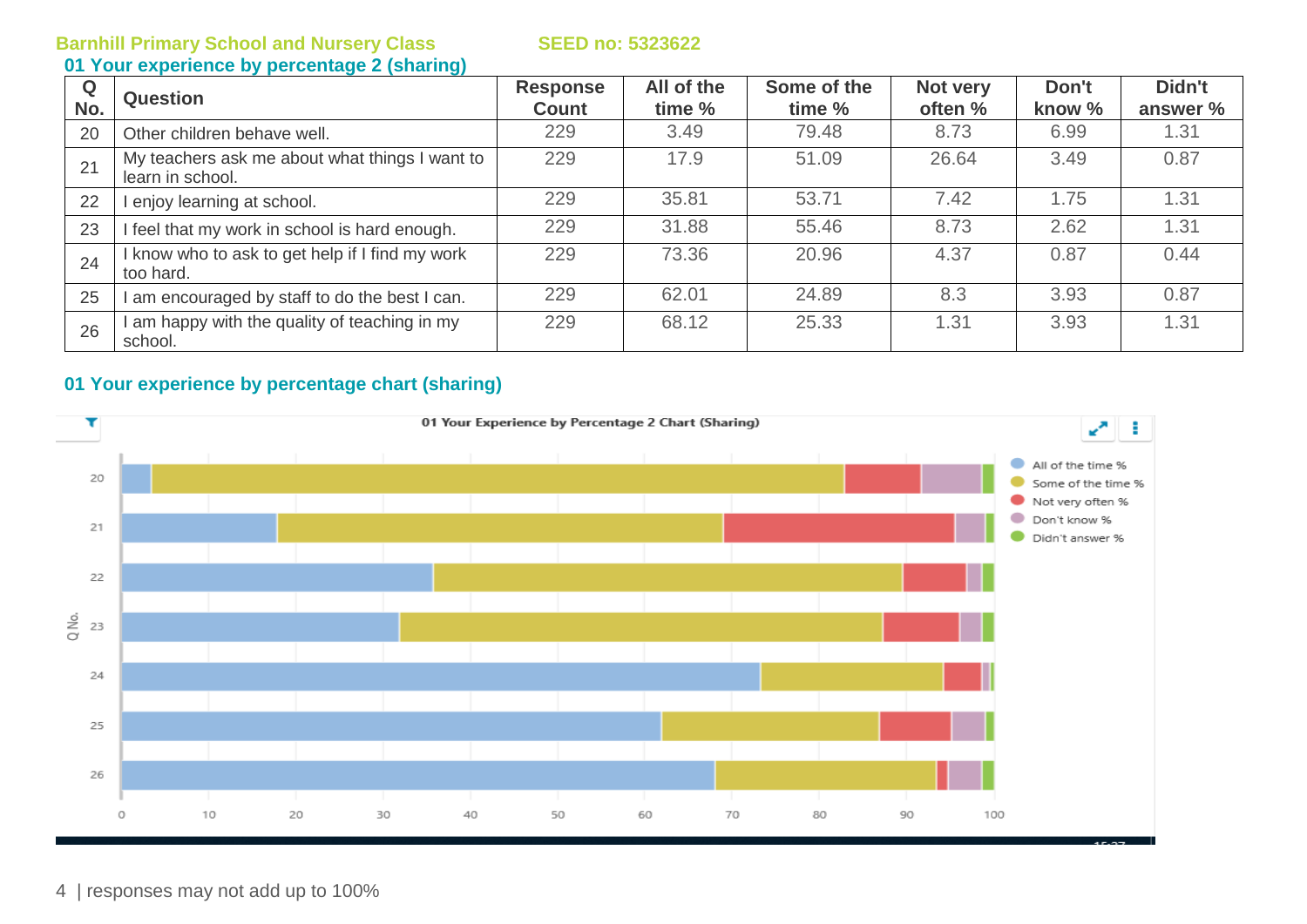### **01 Your experience by percentage 2 (sharing)**

| Q<br>No. | <b>Question</b>                                                    | <b>Response</b><br><b>Count</b> | All of the<br>time % | Some of the<br>time % | Not very<br>often % | Don't<br>know % | Didn't<br>answer % |
|----------|--------------------------------------------------------------------|---------------------------------|----------------------|-----------------------|---------------------|-----------------|--------------------|
| 20       | Other children behave well.                                        | 229                             | 3.49                 | 79.48                 | 8.73                | 6.99            | 1.31               |
| 21       | My teachers ask me about what things I want to<br>learn in school. | 229                             | 17.9                 | 51.09                 | 26.64               | 3.49            | 0.87               |
| 22       | enjoy learning at school.                                          | 229                             | 35.81                | 53.71                 | 7.42                | 1.75            | 1.31               |
| 23       | feel that my work in school is hard enough.                        | 229                             | 31.88                | 55.46                 | 8.73                | 2.62            | 1.31               |
| 24       | know who to ask to get help if I find my work<br>too hard.         | 229                             | 73.36                | 20.96                 | 4.37                | 0.87            | 0.44               |
| 25       | am encouraged by staff to do the best I can.                       | 229                             | 62.01                | 24.89                 | 8.3                 | 3.93            | 0.87               |
| 26       | am happy with the quality of teaching in my<br>school.             | 229                             | 68.12                | 25.33                 | 1.31                | 3.93            | 1.31               |

# **01 Your experience by percentage chart (sharing)**



4 | responses may not add up to 100%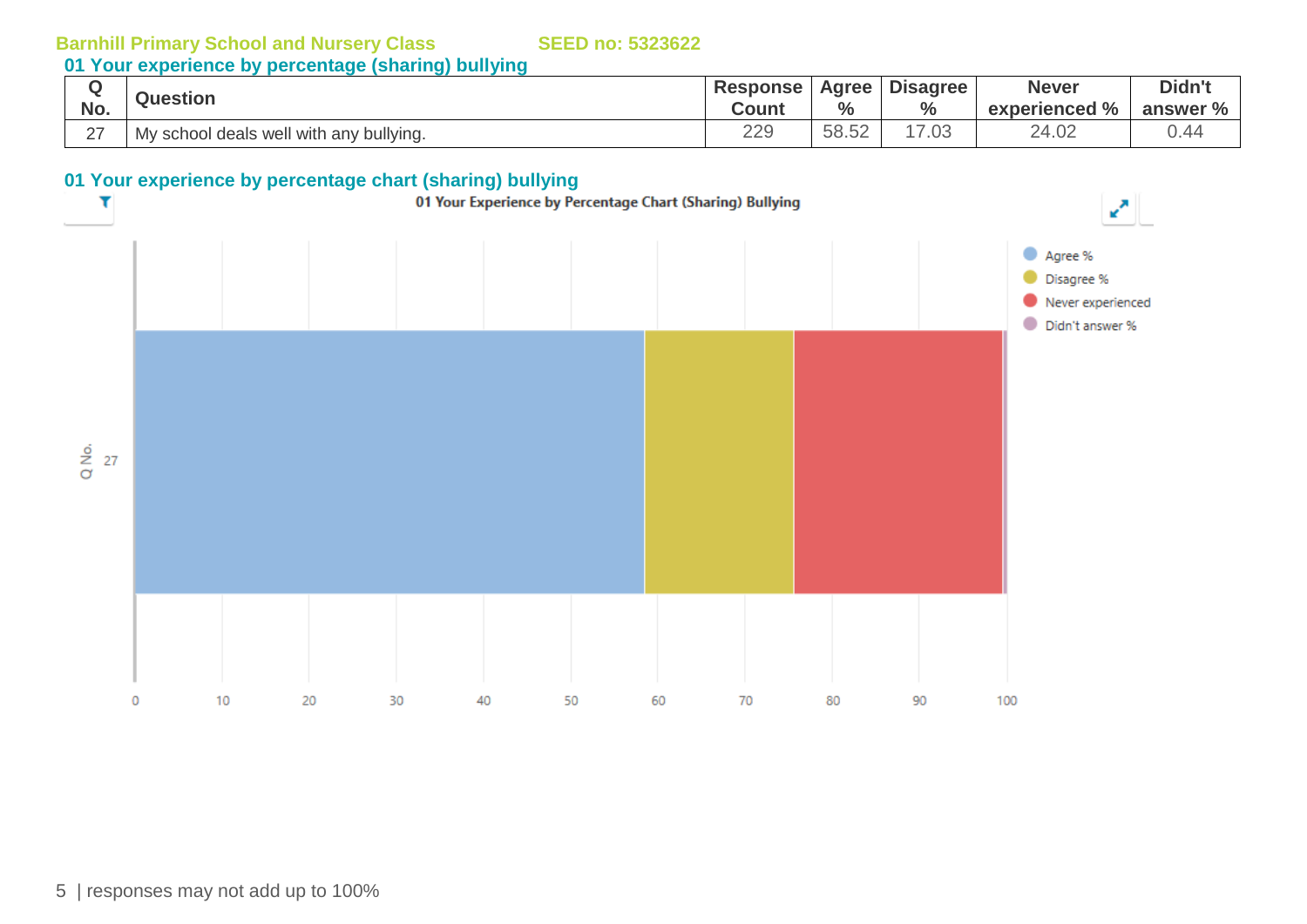**01 Your experience by percentage (sharing) bullying**

|               | <b>Question</b>                         | <b>Response</b> | <b>Agree</b> | <b>Disagree</b> | <b>Never</b>    | Didn't   |
|---------------|-----------------------------------------|-----------------|--------------|-----------------|-----------------|----------|
| No.           |                                         | Count           | $\%$         | $\frac{6}{6}$   | experienced %   | answer % |
| $\sim$<br>ا ک | My school deals well with any bullying. | 229             | 58.52        | $^{\prime}.03$  | $\sim$<br>24.02 | J.44     |

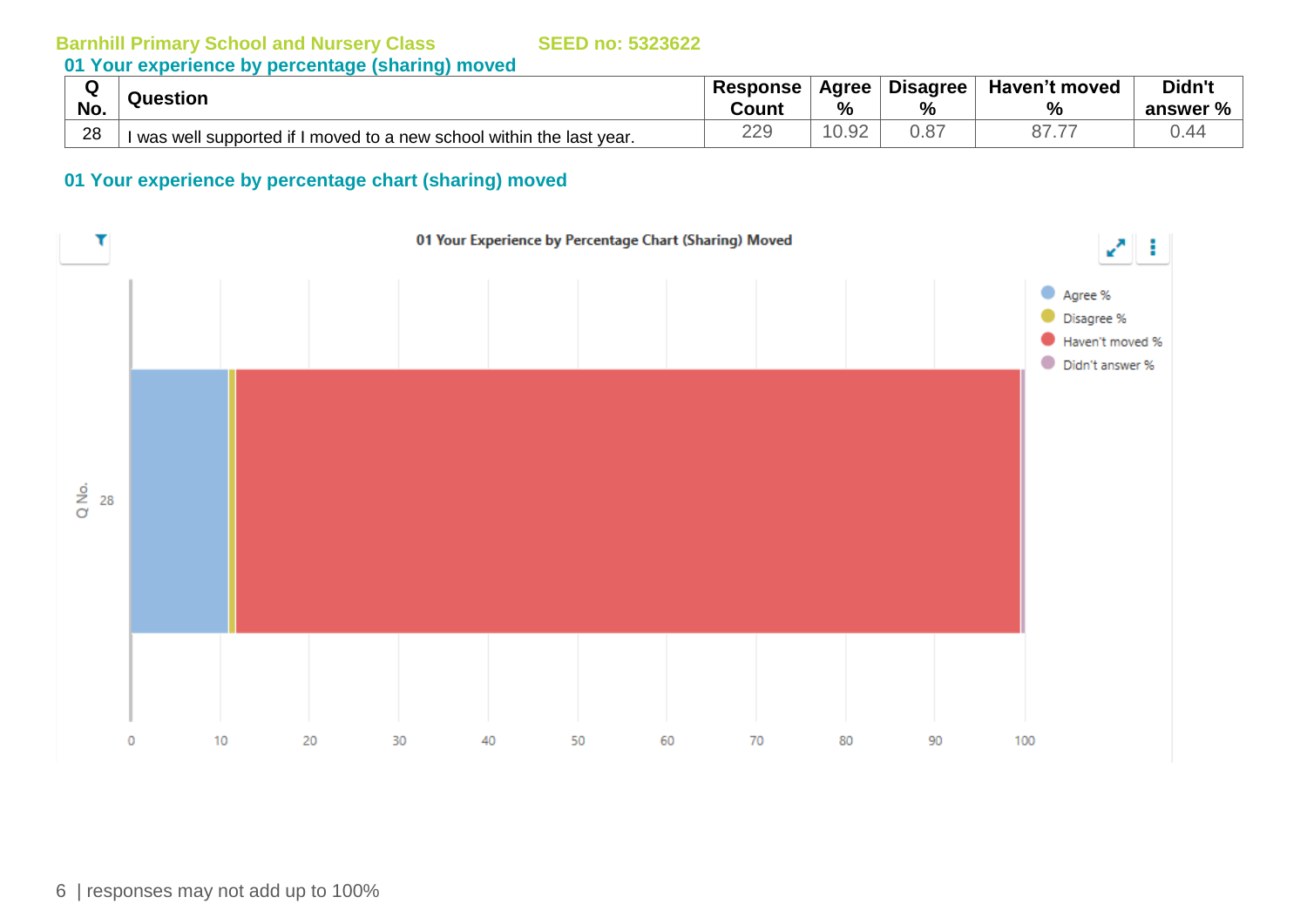# **01 Your experience by percentage (sharing) moved**

| .   | Question                                                              | <b>Response</b> | Agree          | <b>Disagree</b> | Haven't moved         | Didn't      |
|-----|-----------------------------------------------------------------------|-----------------|----------------|-----------------|-----------------------|-------------|
| No. |                                                                       | Count           | %              | %               | $\%$                  | %<br>answer |
| 28  | I was well supported if I moved to a new school within the last year. | 229             | $\cap$<br>U.YZ | U.O             | $\rightarrow$<br>07.7 | 0.44        |

#### **01 Your experience by percentage chart (sharing) moved**

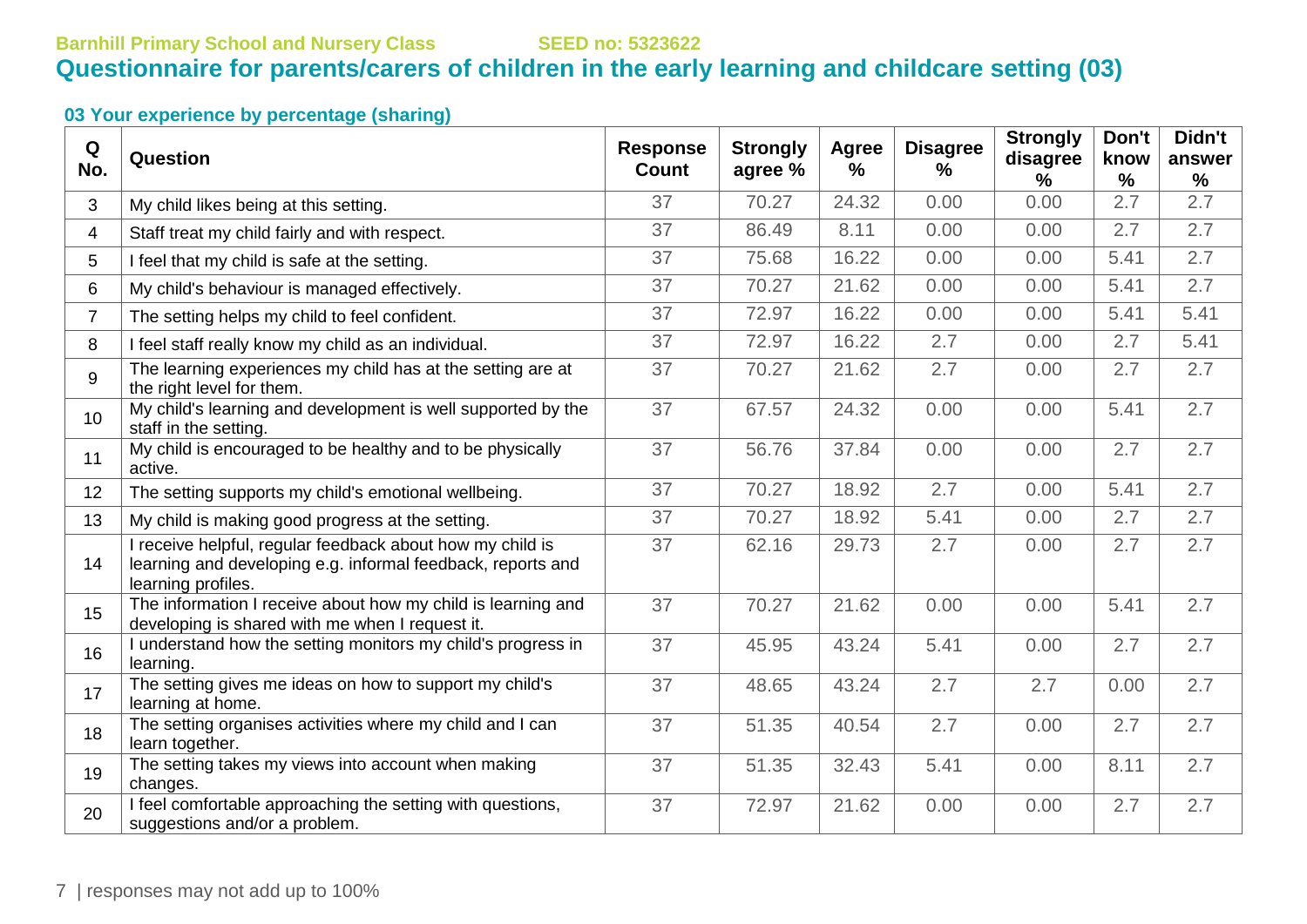# **Barnhill Primary School and Nursery Class SEED no: 5323622 Questionnaire for parents/carers of children in the early learning and childcare setting (03)**

| Q<br>No.       | Question                                                                                                                                       | <b>Response</b><br><b>Count</b> | <b>Strongly</b><br>agree % | Agree<br>% | <b>Disagree</b><br>$\%$ | <b>Strongly</b><br>disagree<br>% | Don't<br>know<br>$\frac{1}{2}$ | Didn't<br>answer<br>$\%$ |
|----------------|------------------------------------------------------------------------------------------------------------------------------------------------|---------------------------------|----------------------------|------------|-------------------------|----------------------------------|--------------------------------|--------------------------|
| 3              | My child likes being at this setting.                                                                                                          | 37                              | 70.27                      | 24.32      | 0.00                    | 0.00                             | 2.7                            | 2.7                      |
| 4              | Staff treat my child fairly and with respect.                                                                                                  | 37                              | 86.49                      | 8.11       | 0.00                    | 0.00                             | 2.7                            | 2.7                      |
| 5              | I feel that my child is safe at the setting.                                                                                                   | 37                              | 75.68                      | 16.22      | 0.00                    | 0.00                             | 5.41                           | 2.7                      |
| 6              | My child's behaviour is managed effectively.                                                                                                   | 37                              | 70.27                      | 21.62      | 0.00                    | 0.00                             | 5.41                           | 2.7                      |
| $\overline{7}$ | The setting helps my child to feel confident.                                                                                                  | 37                              | 72.97                      | 16.22      | 0.00                    | 0.00                             | 5.41                           | 5.41                     |
| 8              | I feel staff really know my child as an individual.                                                                                            | 37                              | 72.97                      | 16.22      | 2.7                     | 0.00                             | 2.7                            | 5.41                     |
| 9              | The learning experiences my child has at the setting are at<br>the right level for them.                                                       | 37                              | 70.27                      | 21.62      | 2.7                     | 0.00                             | 2.7                            | 2.7                      |
| 10             | My child's learning and development is well supported by the<br>staff in the setting.                                                          | 37                              | 67.57                      | 24.32      | 0.00                    | 0.00                             | 5.41                           | 2.7                      |
| 11             | My child is encouraged to be healthy and to be physically<br>active.                                                                           | 37                              | 56.76                      | 37.84      | 0.00                    | 0.00                             | 2.7                            | 2.7                      |
| 12             | The setting supports my child's emotional wellbeing.                                                                                           | 37                              | 70.27                      | 18.92      | 2.7                     | 0.00                             | 5.41                           | 2.7                      |
| 13             | My child is making good progress at the setting.                                                                                               | 37                              | 70.27                      | 18.92      | 5.41                    | 0.00                             | 2.7                            | 2.7                      |
| 14             | I receive helpful, regular feedback about how my child is<br>learning and developing e.g. informal feedback, reports and<br>learning profiles. | 37                              | 62.16                      | 29.73      | 2.7                     | 0.00                             | 2.7                            | 2.7                      |
| 15             | The information I receive about how my child is learning and<br>developing is shared with me when I request it.                                | 37                              | 70.27                      | 21.62      | 0.00                    | 0.00                             | 5.41                           | 2.7                      |
| 16             | I understand how the setting monitors my child's progress in<br>learning.                                                                      | 37                              | 45.95                      | 43.24      | 5.41                    | 0.00                             | 2.7                            | 2.7                      |
| 17             | The setting gives me ideas on how to support my child's<br>learning at home.                                                                   | 37                              | 48.65                      | 43.24      | 2.7                     | 2.7                              | 0.00                           | 2.7                      |
| 18             | The setting organises activities where my child and I can<br>learn together.                                                                   | 37                              | 51.35                      | 40.54      | 2.7                     | 0.00                             | 2.7                            | 2.7                      |
| 19             | The setting takes my views into account when making<br>changes.                                                                                | 37                              | 51.35                      | 32.43      | 5.41                    | 0.00                             | 8.11                           | 2.7                      |
| 20             | I feel comfortable approaching the setting with questions,<br>suggestions and/or a problem.                                                    | 37                              | 72.97                      | 21.62      | 0.00                    | 0.00                             | 2.7                            | 2.7                      |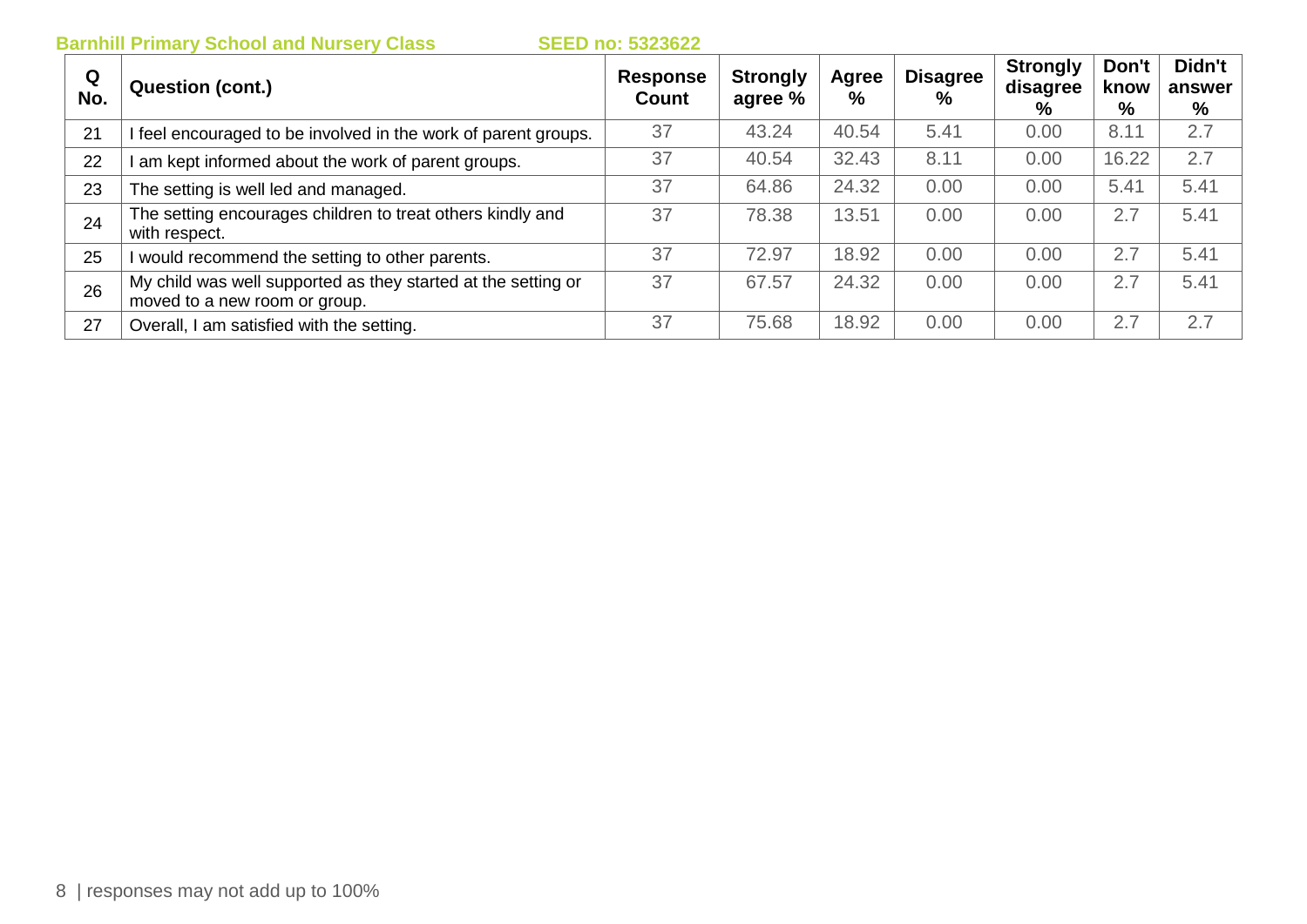| Q<br>No. | <b>Question (cont.)</b>                                                                        | Response<br>Count | <b>Strongly</b><br>agree % | Agree<br>% | <b>Disagree</b><br>% | <b>Strongly</b><br>disagree<br>% | Don't<br>know<br>% | Didn't<br>answer<br>% |
|----------|------------------------------------------------------------------------------------------------|-------------------|----------------------------|------------|----------------------|----------------------------------|--------------------|-----------------------|
| 21       | feel encouraged to be involved in the work of parent groups.                                   | 37                | 43.24                      | 40.54      | 5.41                 | 0.00                             | 8.11               | 2.7                   |
| 22       | am kept informed about the work of parent groups.                                              | 37                | 40.54                      | 32.43      | 8.11                 | 0.00                             | 16.22              | 2.7                   |
| 23       | The setting is well led and managed.                                                           | 37                | 64.86                      | 24.32      | 0.00                 | 0.00                             | 5.41               | 5.41                  |
| 24       | The setting encourages children to treat others kindly and<br>with respect.                    | 37                | 78.38                      | 13.51      | 0.00                 | 0.00                             | 2.7                | 5.41                  |
| 25       | would recommend the setting to other parents.                                                  | 37                | 72.97                      | 18.92      | 0.00                 | 0.00                             | 2.7                | 5.41                  |
| 26       | My child was well supported as they started at the setting or<br>moved to a new room or group. | 37                | 67.57                      | 24.32      | 0.00                 | 0.00                             | 2.7                | 5.41                  |
| 27       | Overall, I am satisfied with the setting.                                                      | 37                | 75.68                      | 18.92      | 0.00                 | 0.00                             | 2.7                | 2.7                   |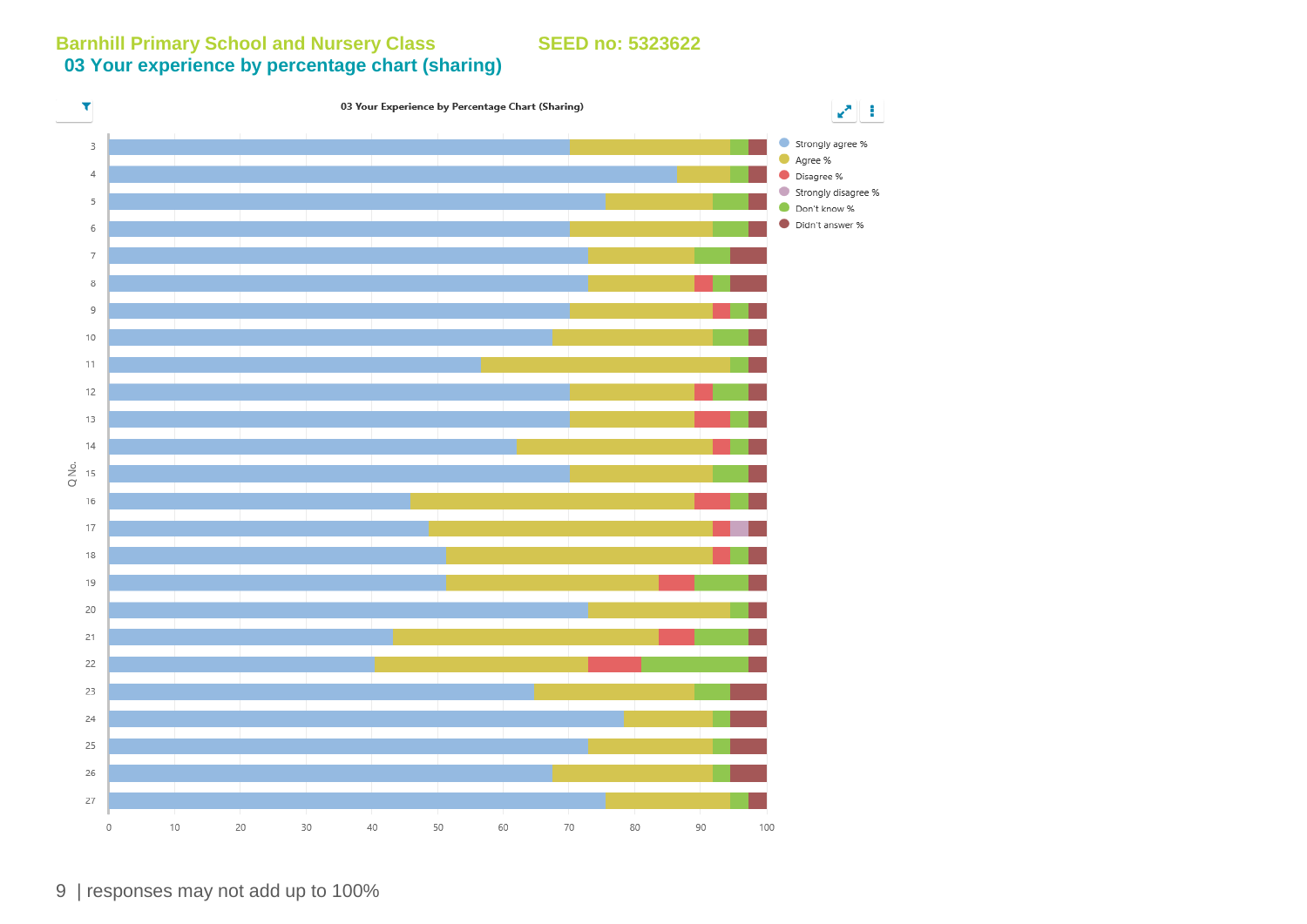**Barnhill Primary School and Nursery Class SEED no: 5323622 03 Your experience by percentage chart (sharing)**



9 | responses may not add up to 100%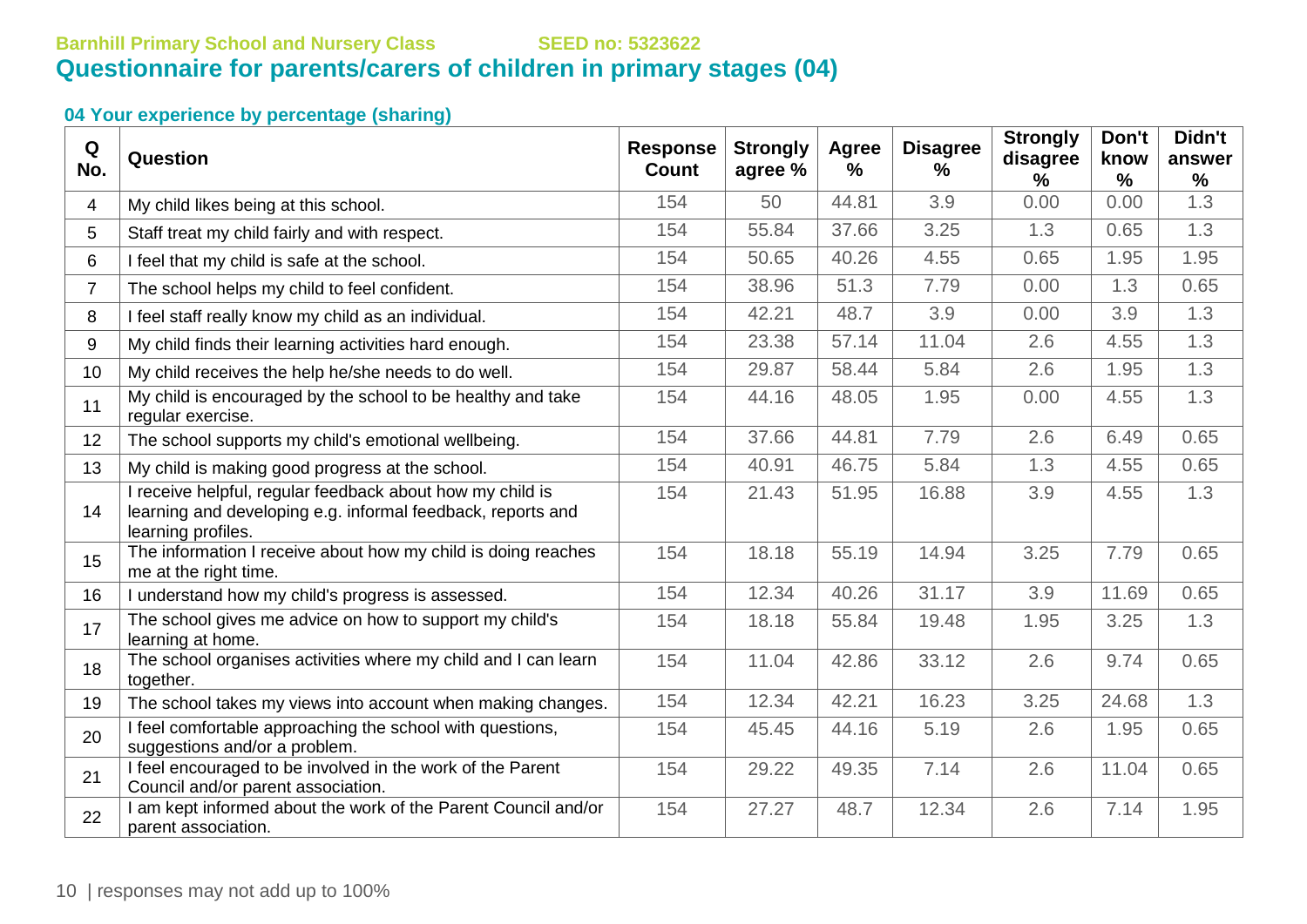# **Barnhill Primary School and Nursery Class SEED no: 5323622 Questionnaire for parents/carers of children in primary stages (04)**

| Q<br>No.       | Question                                                                                                                                       | <b>Response</b><br><b>Count</b> | <b>Strongly</b><br>agree % | <b>Agree</b><br>$\%$ | <b>Disagree</b><br>$\%$ | <b>Strongly</b><br>disagree<br>% | Don't<br>know<br>$\frac{0}{0}$ | Didn't<br>answer<br>$\frac{0}{0}$ |
|----------------|------------------------------------------------------------------------------------------------------------------------------------------------|---------------------------------|----------------------------|----------------------|-------------------------|----------------------------------|--------------------------------|-----------------------------------|
| 4              | My child likes being at this school.                                                                                                           | 154                             | 50                         | 44.81                | 3.9                     | 0.00                             | 0.00                           | 1.3                               |
| 5              | Staff treat my child fairly and with respect.                                                                                                  | 154                             | 55.84                      | 37.66                | 3.25                    | 1.3                              | 0.65                           | 1.3                               |
| 6              | I feel that my child is safe at the school.                                                                                                    | 154                             | 50.65                      | 40.26                | 4.55                    | 0.65                             | 1.95                           | 1.95                              |
| $\overline{7}$ | The school helps my child to feel confident.                                                                                                   | 154                             | 38.96                      | 51.3                 | 7.79                    | 0.00                             | 1.3                            | 0.65                              |
| 8              | I feel staff really know my child as an individual.                                                                                            | 154                             | 42.21                      | 48.7                 | 3.9                     | 0.00                             | 3.9                            | 1.3                               |
| 9              | My child finds their learning activities hard enough.                                                                                          | 154                             | 23.38                      | 57.14                | 11.04                   | 2.6                              | 4.55                           | 1.3                               |
| 10             | My child receives the help he/she needs to do well.                                                                                            | 154                             | 29.87                      | 58.44                | 5.84                    | 2.6                              | 1.95                           | 1.3                               |
| 11             | My child is encouraged by the school to be healthy and take<br>regular exercise.                                                               | 154                             | 44.16                      | 48.05                | 1.95                    | 0.00                             | 4.55                           | 1.3                               |
| 12             | The school supports my child's emotional wellbeing.                                                                                            | 154                             | 37.66                      | 44.81                | 7.79                    | 2.6                              | 6.49                           | 0.65                              |
| 13             | My child is making good progress at the school.                                                                                                | 154                             | 40.91                      | 46.75                | 5.84                    | 1.3                              | 4.55                           | 0.65                              |
| 14             | I receive helpful, regular feedback about how my child is<br>learning and developing e.g. informal feedback, reports and<br>learning profiles. | 154                             | 21.43                      | 51.95                | 16.88                   | 3.9                              | 4.55                           | 1.3                               |
| 15             | The information I receive about how my child is doing reaches<br>me at the right time.                                                         | 154                             | 18.18                      | 55.19                | 14.94                   | 3.25                             | 7.79                           | 0.65                              |
| 16             | I understand how my child's progress is assessed.                                                                                              | 154                             | 12.34                      | 40.26                | 31.17                   | 3.9                              | 11.69                          | 0.65                              |
| 17             | The school gives me advice on how to support my child's<br>learning at home.                                                                   | 154                             | 18.18                      | 55.84                | 19.48                   | 1.95                             | 3.25                           | 1.3                               |
| 18             | The school organises activities where my child and I can learn<br>together.                                                                    | 154                             | 11.04                      | 42.86                | 33.12                   | 2.6                              | 9.74                           | 0.65                              |
| 19             | The school takes my views into account when making changes.                                                                                    | 154                             | 12.34                      | 42.21                | 16.23                   | 3.25                             | 24.68                          | 1.3                               |
| 20             | I feel comfortable approaching the school with questions,<br>suggestions and/or a problem.                                                     | 154                             | 45.45                      | 44.16                | 5.19                    | 2.6                              | 1.95                           | 0.65                              |
| 21             | I feel encouraged to be involved in the work of the Parent<br>Council and/or parent association.                                               | 154                             | 29.22                      | 49.35                | 7.14                    | 2.6                              | 11.04                          | 0.65                              |
| 22             | I am kept informed about the work of the Parent Council and/or<br>parent association.                                                          | 154                             | 27.27                      | 48.7                 | 12.34                   | 2.6                              | 7.14                           | 1.95                              |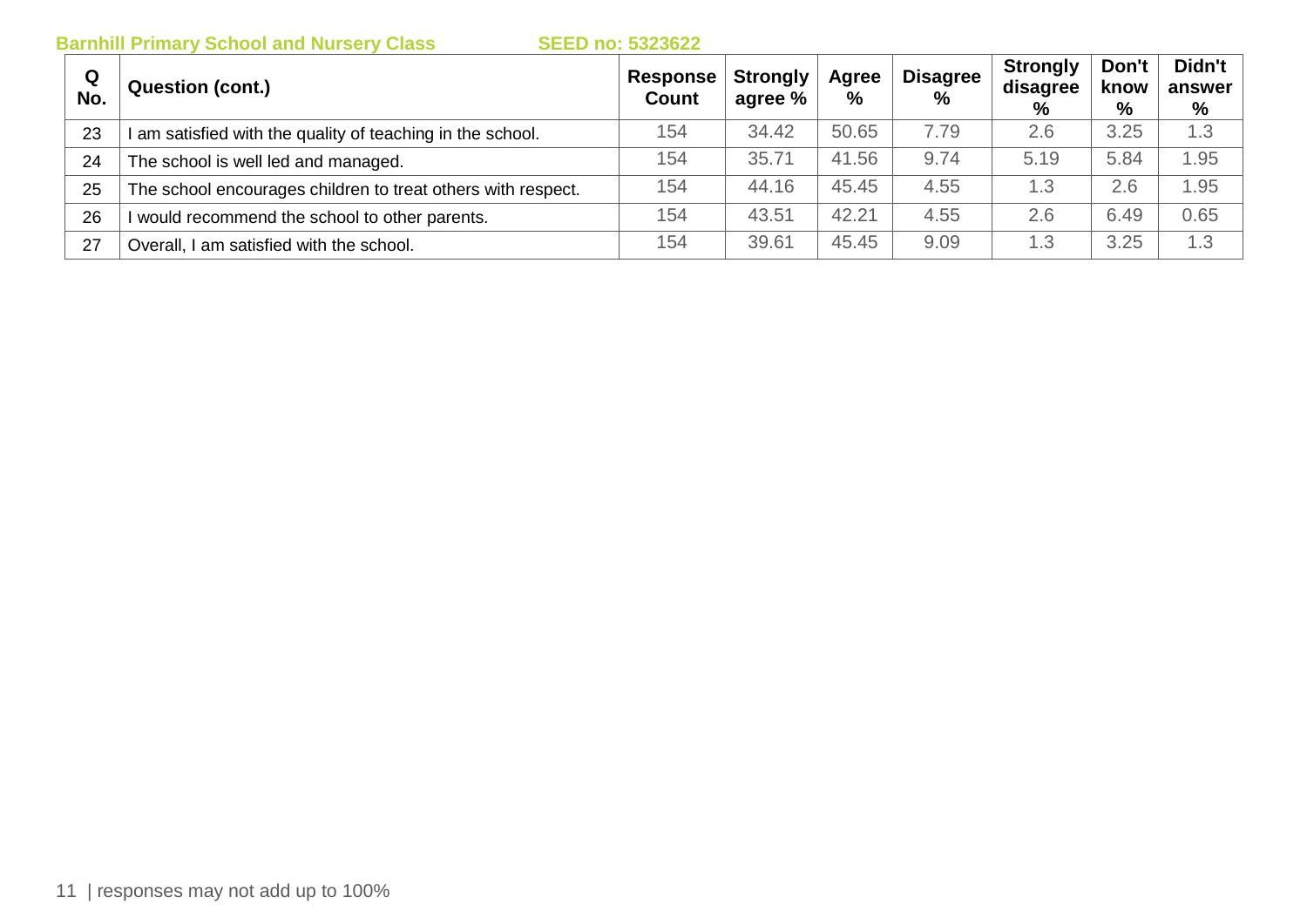| Q<br>No. | <b>Question (cont.)</b>                                      | Response<br><b>Count</b> | <b>Strongly</b><br>agree % | Agree<br>$\%$ | <b>Disagree</b><br>$\frac{0}{0}$ | <b>Strongly</b><br>disagree<br>% | Don't<br>know<br>% | Didn't<br>answer<br>% |
|----------|--------------------------------------------------------------|--------------------------|----------------------------|---------------|----------------------------------|----------------------------------|--------------------|-----------------------|
| 23       | I am satisfied with the quality of teaching in the school.   | 154                      | 34.42                      | 50.65         | 7.79                             | 2.6                              | 3.25               | 1.3                   |
| 24       | The school is well led and managed.                          | 154                      | 35.71                      | 41.56         | 9.74                             | 5.19                             | 5.84               | 1.95                  |
| 25       | The school encourages children to treat others with respect. | 154                      | 44.16                      | 45.45         | 4.55                             | 1.3                              | 2.6                | 1.95                  |
| 26       | would recommend the school to other parents.                 | 154                      | 43.51                      | 42.21         | 4.55                             | 2.6                              | 6.49               | 0.65                  |
| 27       | Overall, I am satisfied with the school.                     | 154                      | 39.61                      | 45.45         | 9.09                             | 1.3                              | 3.25               | 1.3                   |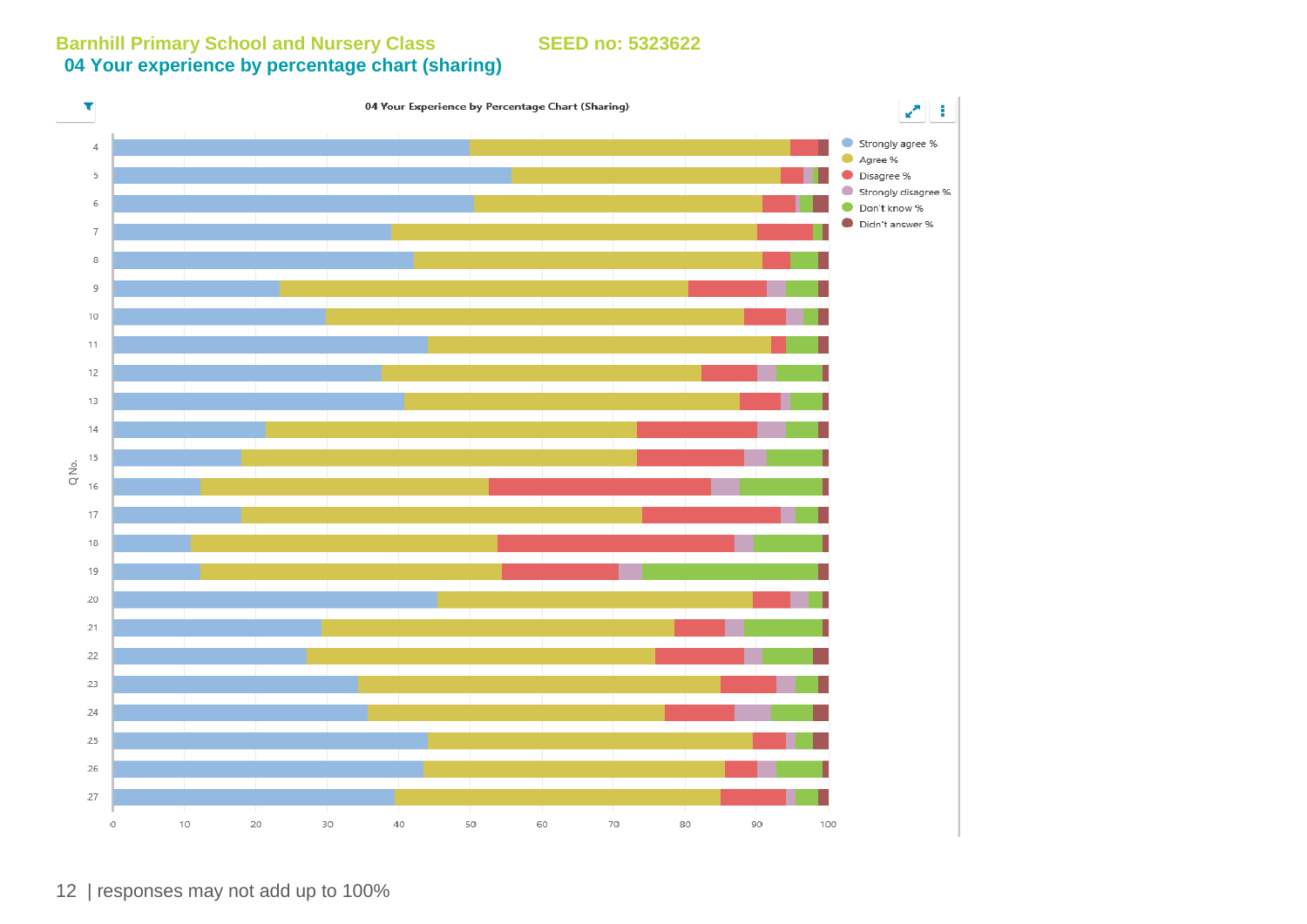**Barnhill Primary School and Nursery Class SEED no: 5323622 04 Your experience by percentage chart (sharing)**

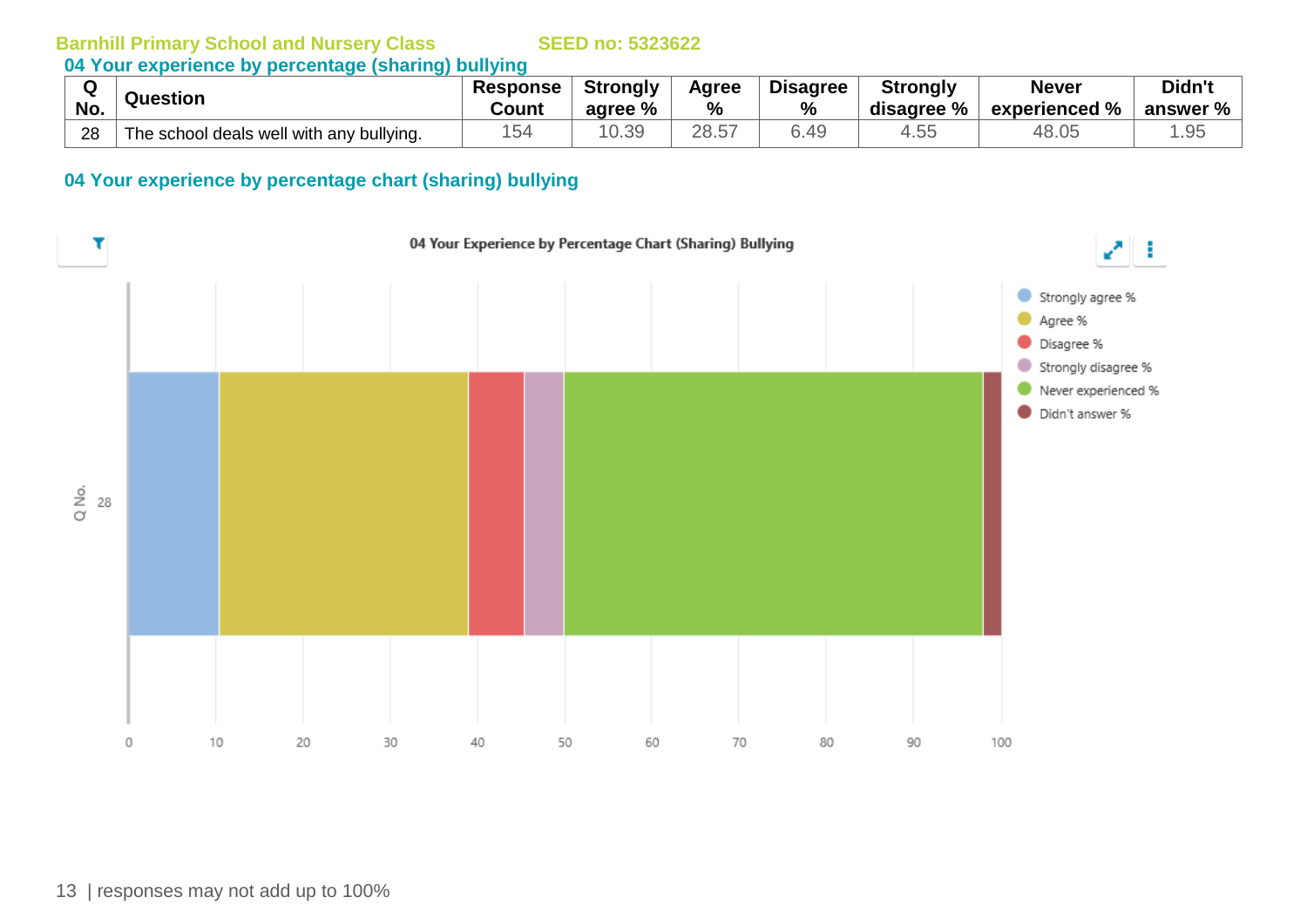**04 Your experience by percentage (sharing) bullying**

| $\ddot{\phantom{1}}$ | Question                                 | <b>Response</b> | Strongly | Agree | <b>Disagree</b> | <b>Strongly</b> | <b>Never</b>                         | Didn't   |
|----------------------|------------------------------------------|-----------------|----------|-------|-----------------|-----------------|--------------------------------------|----------|
| No.                  |                                          | Count           | agree %  | $\%$  | $\%$            | disagree %      | $^{\circ}$ experienced % $\parallel$ | answer % |
| 28                   | The school deals well with any bullying. | 15 <sub>4</sub> | 10.39    | 28.57 | 6.49            | 4.5t            | 48.05                                | .95      |

### **04 Your experience by percentage chart (sharing) bullying**

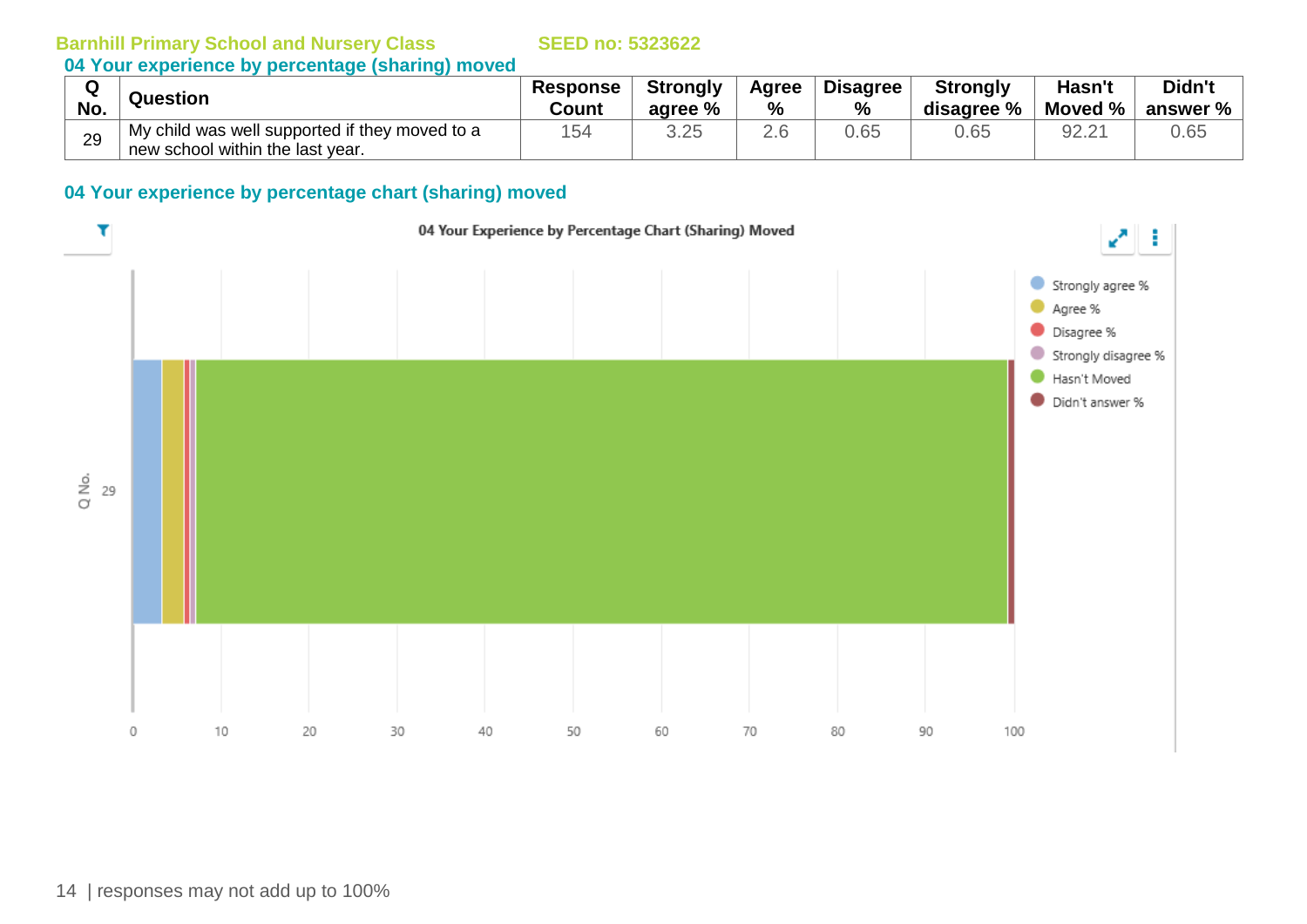# **04 Your experience by percentage (sharing) moved**

| No. | Question                                       | <b>Response</b><br><b>Count</b> | <b>Strongly</b><br>agree % | Agree<br>% | <b>Disagree</b><br>% | <b>Strongly</b><br>disagree % | Hasn't<br>Moved % | Didn't<br>answer % |
|-----|------------------------------------------------|---------------------------------|----------------------------|------------|----------------------|-------------------------------|-------------------|--------------------|
| 29  | My child was well supported if they moved to a | 154                             | ろ つビ<br>∪.∠∪               | Z.U        | 0.65                 | 0.65                          | 92.21             | 0.65               |
|     | new school within the last year.               |                                 |                            |            |                      |                               |                   |                    |

## **04 Your experience by percentage chart (sharing) moved**

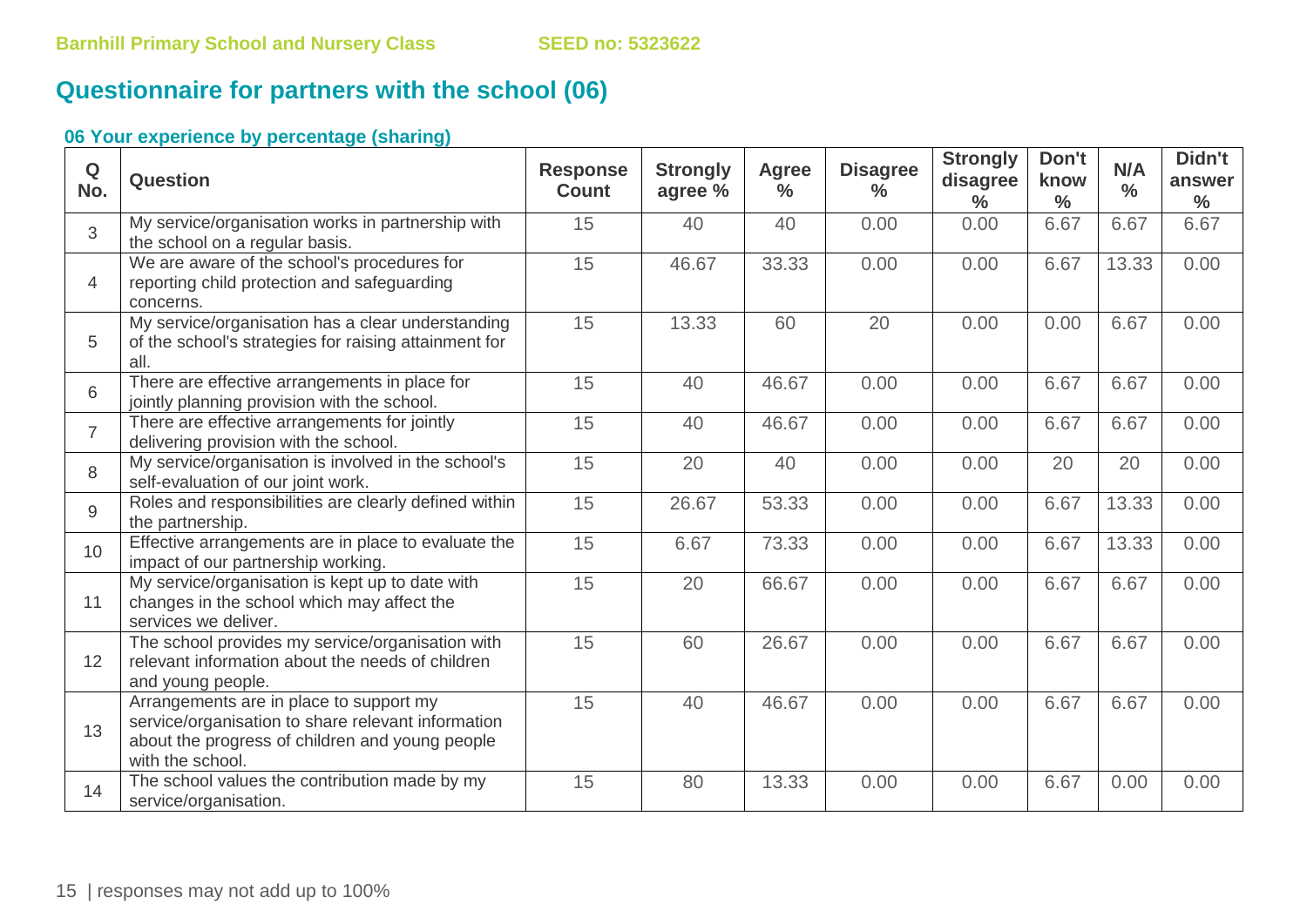# **Questionnaire for partners with the school (06)**

| Q<br>No.       | Question                                                                                                                                                             | <b>Response</b><br><b>Count</b> | <b>Strongly</b><br>agree % | <b>Agree</b><br>$\frac{0}{0}$ | <b>Disagree</b><br>$\frac{0}{0}$ | <b>Strongly</b><br>disagree<br>$\frac{0}{0}$ | Don't<br>know<br>$\frac{0}{0}$ | N/A<br>$\frac{0}{0}$ | Didn't<br>answer<br>$\frac{0}{0}$ |
|----------------|----------------------------------------------------------------------------------------------------------------------------------------------------------------------|---------------------------------|----------------------------|-------------------------------|----------------------------------|----------------------------------------------|--------------------------------|----------------------|-----------------------------------|
| $\overline{3}$ | My service/organisation works in partnership with<br>the school on a regular basis.                                                                                  | 15                              | 40                         | 40                            | 0.00                             | 0.00                                         | 6.67                           | 6.67                 | 6.67                              |
| $\overline{4}$ | We are aware of the school's procedures for<br>reporting child protection and safeguarding<br>concerns.                                                              | 15                              | 46.67                      | 33.33                         | 0.00                             | 0.00                                         | 6.67                           | 13.33                | 0.00                              |
| 5              | My service/organisation has a clear understanding<br>of the school's strategies for raising attainment for<br>all.                                                   | 15                              | 13.33                      | 60                            | 20                               | 0.00                                         | 0.00                           | 6.67                 | 0.00                              |
| 6              | There are effective arrangements in place for<br>jointly planning provision with the school.                                                                         | 15                              | 40                         | 46.67                         | 0.00                             | 0.00                                         | 6.67                           | 6.67                 | 0.00                              |
| $\overline{7}$ | There are effective arrangements for jointly<br>delivering provision with the school.                                                                                | 15                              | 40                         | 46.67                         | 0.00                             | 0.00                                         | 6.67                           | 6.67                 | 0.00                              |
| 8              | My service/organisation is involved in the school's<br>self-evaluation of our joint work.                                                                            | 15                              | 20                         | 40                            | 0.00                             | 0.00                                         | 20                             | 20                   | 0.00                              |
| 9              | Roles and responsibilities are clearly defined within<br>the partnership.                                                                                            | 15                              | 26.67                      | 53.33                         | 0.00                             | 0.00                                         | 6.67                           | 13.33                | 0.00                              |
| 10             | Effective arrangements are in place to evaluate the<br>impact of our partnership working.                                                                            | 15                              | 6.67                       | 73.33                         | 0.00                             | 0.00                                         | 6.67                           | 13.33                | 0.00                              |
| 11             | My service/organisation is kept up to date with<br>changes in the school which may affect the<br>services we deliver.                                                | 15                              | 20                         | 66.67                         | 0.00                             | 0.00                                         | 6.67                           | 6.67                 | 0.00                              |
| 12             | The school provides my service/organisation with<br>relevant information about the needs of children<br>and young people.                                            | 15                              | 60                         | 26.67                         | 0.00                             | 0.00                                         | 6.67                           | 6.67                 | 0.00                              |
| 13             | Arrangements are in place to support my<br>service/organisation to share relevant information<br>about the progress of children and young people<br>with the school. | 15                              | 40                         | 46.67                         | 0.00                             | 0.00                                         | 6.67                           | 6.67                 | 0.00                              |
| 14             | The school values the contribution made by my<br>service/organisation.                                                                                               | 15                              | 80                         | 13.33                         | 0.00                             | 0.00                                         | 6.67                           | 0.00                 | 0.00                              |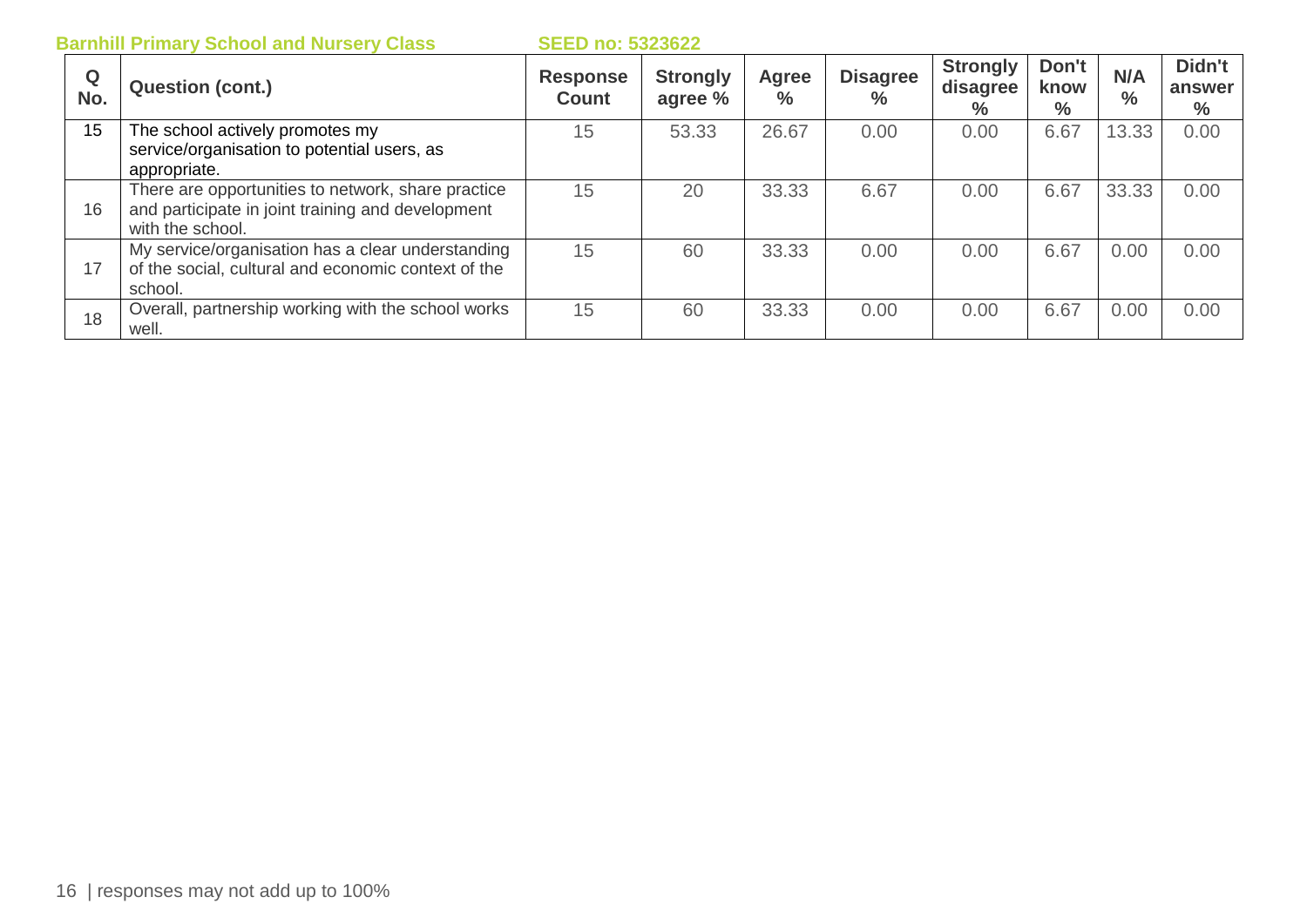|          | <b>Barnhill Primary School and Nursery Class</b>                                                                            | <b>SEED no: 5323622</b>         |                            |                      |                         |                                     |                       |                      |                          |
|----------|-----------------------------------------------------------------------------------------------------------------------------|---------------------------------|----------------------------|----------------------|-------------------------|-------------------------------------|-----------------------|----------------------|--------------------------|
| Q<br>No. | <b>Question (cont.)</b>                                                                                                     | <b>Response</b><br><b>Count</b> | <b>Strongly</b><br>agree % | <b>Agree</b><br>$\%$ | <b>Disagree</b><br>$\%$ | <b>Strongly</b><br>disagree<br>$\%$ | Don't<br>know<br>$\%$ | N/A<br>$\frac{0}{0}$ | Didn't<br>answer<br>$\%$ |
| 15       | The school actively promotes my<br>service/organisation to potential users, as<br>appropriate.                              | 15                              | 53.33                      | 26.67                | 0.00                    | 0.00                                | 6.67                  | 13.33                | 0.00                     |
| 16       | There are opportunities to network, share practice<br>and participate in joint training and development<br>with the school. | 15                              | 20                         | 33.33                | 6.67                    | 0.00                                | 6.67                  | 33.33                | 0.00                     |
| 17       | My service/organisation has a clear understanding<br>of the social, cultural and economic context of the<br>school.         | 15                              | 60                         | 33.33                | 0.00                    | 0.00                                | 6.67                  | 0.00                 | 0.00                     |
| 18       | Overall, partnership working with the school works<br>well.                                                                 | 15                              | 60                         | 33.33                | 0.00                    | 0.00                                | 6.67                  | 0.00                 | 0.00                     |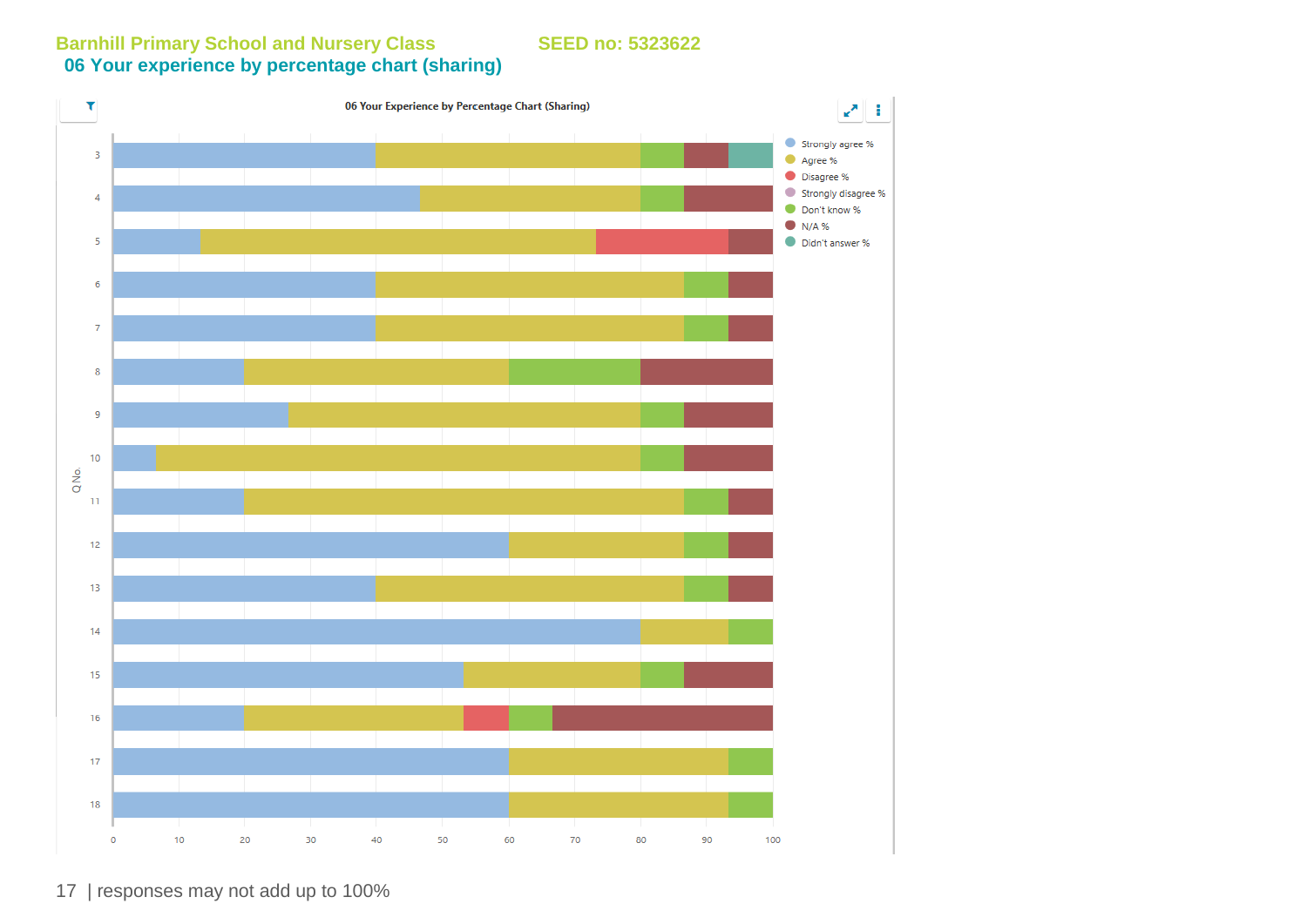**Barnhill Primary School and Nursery Class SEED no: 5323622 06 Your experience by percentage chart (sharing)** 



17 | responses may not add up to 100%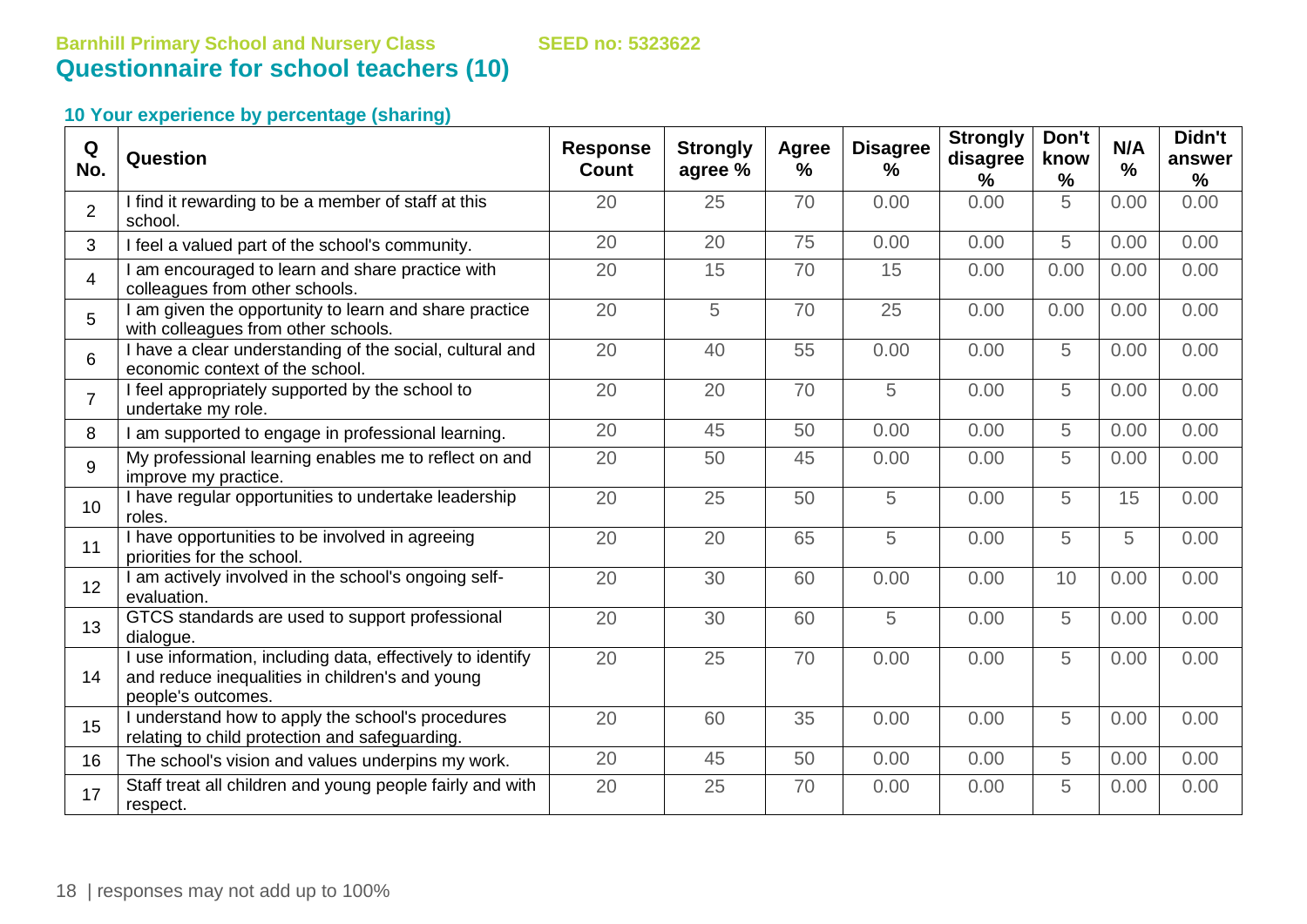| Q<br>No.       | Question                                                                                                                          | <b>Response</b><br><b>Count</b> | <b>Strongly</b><br>agree % | Agree<br>$\frac{9}{6}$ | <b>Disagree</b><br>% | <b>Strongly</b><br>disagree<br>% | Don't<br>know<br>$\%$ | N/A<br>$\%$ | Didn't<br>answer<br>$\%$ |
|----------------|-----------------------------------------------------------------------------------------------------------------------------------|---------------------------------|----------------------------|------------------------|----------------------|----------------------------------|-----------------------|-------------|--------------------------|
| $\overline{2}$ | I find it rewarding to be a member of staff at this<br>school.                                                                    | 20                              | 25                         | 70                     | 0.00                 | 0.00                             | 5                     | 0.00        | 0.00                     |
| 3              | I feel a valued part of the school's community.                                                                                   | 20                              | 20                         | 75                     | 0.00                 | 0.00                             | 5                     | 0.00        | 0.00                     |
| $\overline{4}$ | am encouraged to learn and share practice with<br>colleagues from other schools.                                                  | 20                              | 15                         | 70                     | 15                   | 0.00                             | 0.00                  | 0.00        | 0.00                     |
| 5              | am given the opportunity to learn and share practice<br>with colleagues from other schools.                                       | 20                              | 5                          | 70                     | 25                   | 0.00                             | 0.00                  | 0.00        | 0.00                     |
| 6              | I have a clear understanding of the social, cultural and<br>economic context of the school.                                       | 20                              | 40                         | 55                     | 0.00                 | 0.00                             | 5                     | 0.00        | 0.00                     |
| $\overline{7}$ | I feel appropriately supported by the school to<br>undertake my role.                                                             | 20                              | 20                         | 70                     | 5                    | 0.00                             | 5                     | 0.00        | 0.00                     |
| 8              | am supported to engage in professional learning.                                                                                  | 20                              | 45                         | 50                     | 0.00                 | 0.00                             | 5                     | 0.00        | 0.00                     |
| 9              | My professional learning enables me to reflect on and<br>improve my practice.                                                     | 20                              | 50                         | 45                     | 0.00                 | 0.00                             | 5                     | 0.00        | 0.00                     |
| 10             | I have regular opportunities to undertake leadership<br>roles.                                                                    | 20                              | 25                         | 50                     | 5                    | 0.00                             | 5                     | 15          | 0.00                     |
| 11             | I have opportunities to be involved in agreeing<br>priorities for the school.                                                     | 20                              | 20                         | 65                     | 5                    | 0.00                             | 5                     | 5           | 0.00                     |
| 12             | am actively involved in the school's ongoing self-<br>evaluation.                                                                 | 20                              | 30                         | 60                     | 0.00                 | 0.00                             | 10                    | 0.00        | 0.00                     |
| 13             | GTCS standards are used to support professional<br>dialogue.                                                                      | 20                              | 30                         | 60                     | 5                    | 0.00                             | 5                     | 0.00        | 0.00                     |
| 14             | use information, including data, effectively to identify<br>and reduce inequalities in children's and young<br>people's outcomes. | 20                              | 25                         | 70                     | 0.00                 | 0.00                             | 5                     | 0.00        | 0.00                     |
| 15             | understand how to apply the school's procedures<br>relating to child protection and safeguarding.                                 | 20                              | 60                         | 35                     | 0.00                 | 0.00                             | 5                     | 0.00        | 0.00                     |
| 16             | The school's vision and values underpins my work.                                                                                 | 20                              | 45                         | 50                     | 0.00                 | 0.00                             | 5                     | 0.00        | 0.00                     |
| 17             | Staff treat all children and young people fairly and with<br>respect.                                                             | 20                              | 25                         | 70                     | 0.00                 | 0.00                             | 5                     | 0.00        | 0.00                     |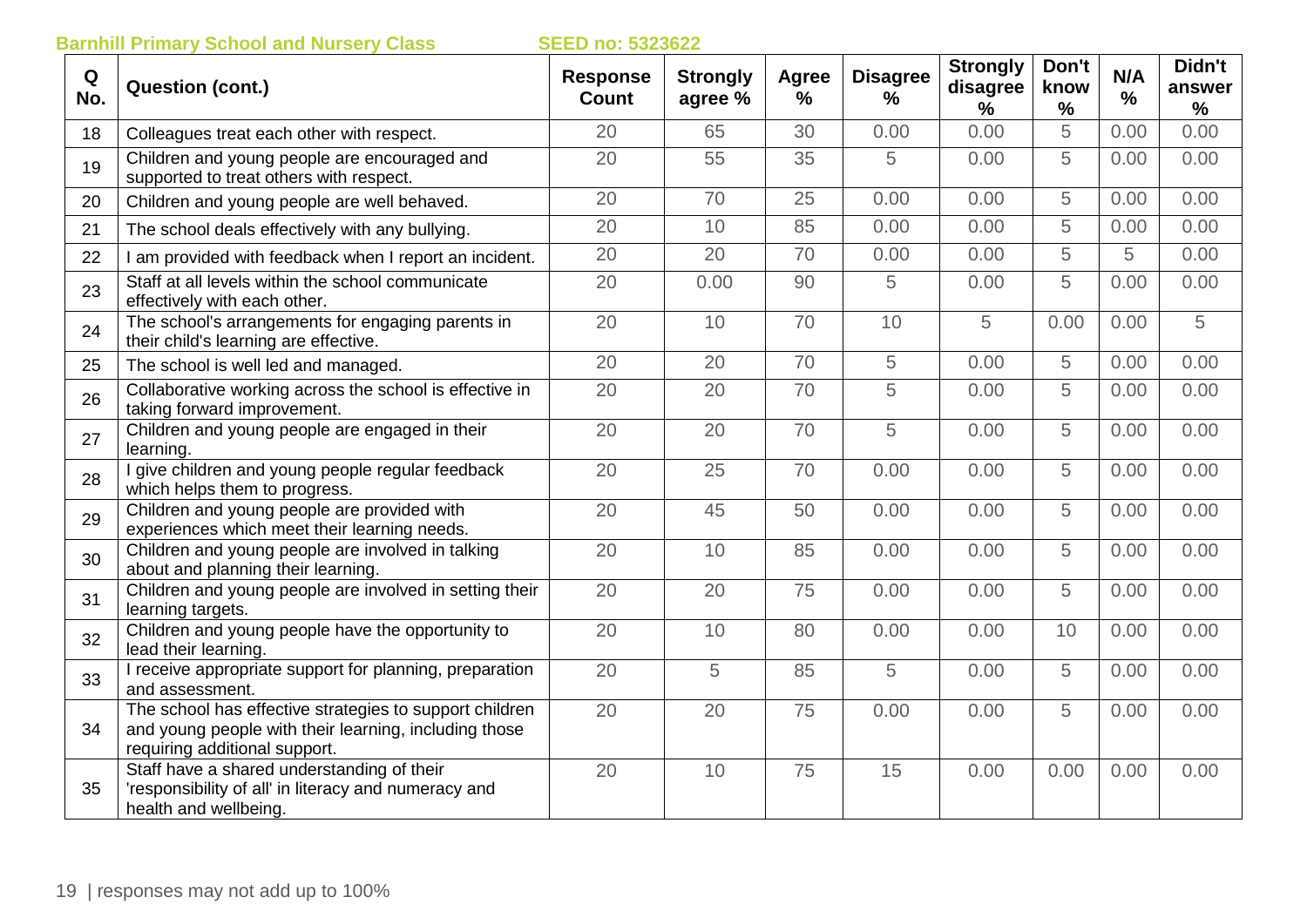| Q<br>No. | <b>Question (cont.)</b>                                                                                                                           | <b>Response</b><br><b>Count</b> | <b>Strongly</b><br>agree % | Agree<br>$\frac{0}{0}$ | <b>Disagree</b><br>$\%$ | <b>Strongly</b><br>disagree<br>$\frac{1}{2}$ | Don't<br>know<br>$\%$ | N/A<br>$\frac{0}{0}$ | Didn't<br>answer<br>% |
|----------|---------------------------------------------------------------------------------------------------------------------------------------------------|---------------------------------|----------------------------|------------------------|-------------------------|----------------------------------------------|-----------------------|----------------------|-----------------------|
| 18       | Colleagues treat each other with respect.                                                                                                         | 20                              | 65                         | 30                     | 0.00                    | 0.00                                         | 5                     | 0.00                 | 0.00                  |
| 19       | Children and young people are encouraged and<br>supported to treat others with respect.                                                           | 20                              | 55                         | 35                     | 5                       | 0.00                                         | 5                     | 0.00                 | 0.00                  |
| 20       | Children and young people are well behaved.                                                                                                       | 20                              | 70                         | 25                     | 0.00                    | 0.00                                         | 5                     | 0.00                 | 0.00                  |
| 21       | The school deals effectively with any bullying.                                                                                                   | 20                              | 10                         | 85                     | 0.00                    | 0.00                                         | 5                     | 0.00                 | 0.00                  |
| 22       | I am provided with feedback when I report an incident.                                                                                            | 20                              | 20                         | 70                     | 0.00                    | 0.00                                         | 5                     | 5                    | 0.00                  |
| 23       | Staff at all levels within the school communicate<br>effectively with each other.                                                                 | 20                              | 0.00                       | 90                     | 5                       | 0.00                                         | 5                     | 0.00                 | 0.00                  |
| 24       | The school's arrangements for engaging parents in<br>their child's learning are effective.                                                        | 20                              | 10                         | 70                     | 10                      | 5                                            | 0.00                  | 0.00                 | 5                     |
| 25       | The school is well led and managed.                                                                                                               | 20                              | 20                         | 70                     | 5                       | 0.00                                         | 5                     | 0.00                 | 0.00                  |
| 26       | Collaborative working across the school is effective in<br>taking forward improvement.                                                            | 20                              | 20                         | 70                     | 5                       | 0.00                                         | 5                     | 0.00                 | 0.00                  |
| 27       | Children and young people are engaged in their<br>learning.                                                                                       | 20                              | 20                         | 70                     | 5                       | 0.00                                         | 5                     | 0.00                 | 0.00                  |
| 28       | I give children and young people regular feedback<br>which helps them to progress.                                                                | 20                              | 25                         | 70                     | 0.00                    | 0.00                                         | 5                     | 0.00                 | 0.00                  |
| 29       | Children and young people are provided with<br>experiences which meet their learning needs.                                                       | 20                              | 45                         | 50                     | 0.00                    | 0.00                                         | 5                     | 0.00                 | 0.00                  |
| 30       | Children and young people are involved in talking<br>about and planning their learning.                                                           | 20                              | 10                         | 85                     | 0.00                    | 0.00                                         | 5                     | 0.00                 | 0.00                  |
| 31       | Children and young people are involved in setting their<br>learning targets.                                                                      | 20                              | 20                         | 75                     | 0.00                    | 0.00                                         | 5                     | 0.00                 | 0.00                  |
| 32       | Children and young people have the opportunity to<br>lead their learning.                                                                         | 20                              | 10                         | 80                     | 0.00                    | 0.00                                         | 10                    | 0.00                 | 0.00                  |
| 33       | I receive appropriate support for planning, preparation<br>and assessment.                                                                        | 20                              | 5                          | 85                     | 5                       | 0.00                                         | 5                     | 0.00                 | 0.00                  |
| 34       | The school has effective strategies to support children<br>and young people with their learning, including those<br>requiring additional support. | 20                              | 20                         | 75                     | 0.00                    | 0.00                                         | 5                     | 0.00                 | 0.00                  |
| 35       | Staff have a shared understanding of their<br>'responsibility of all' in literacy and numeracy and<br>health and wellbeing.                       | 20                              | 10                         | 75                     | 15                      | 0.00                                         | 0.00                  | 0.00                 | 0.00                  |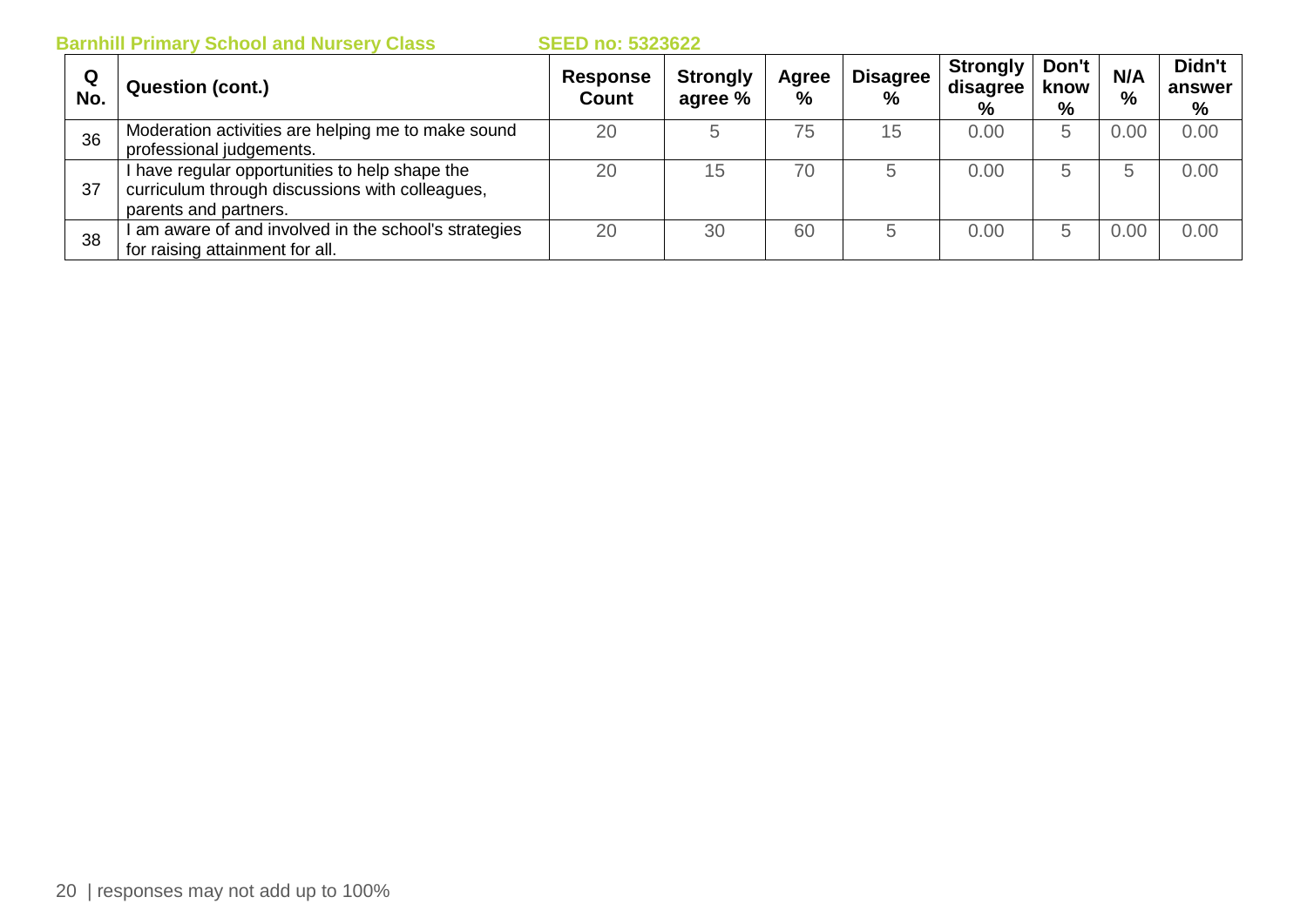| Q<br>No. | <b>Question (cont.)</b>                                                                                                    | <b>Response</b><br><b>Count</b> | <b>Strongly</b><br>agree % | Agree<br>% | <b>Disagree</b><br>$\%$ | <b>Strongly</b><br>disagree<br>% | Don't<br>know<br>% | N/A<br>% | Didn't<br>answer<br>% |
|----------|----------------------------------------------------------------------------------------------------------------------------|---------------------------------|----------------------------|------------|-------------------------|----------------------------------|--------------------|----------|-----------------------|
| 36       | Moderation activities are helping me to make sound<br>professional judgements.                                             | 20                              |                            | 75         | 15                      | 0.00                             | b                  | 0.00     | 0.00                  |
| 37       | I have regular opportunities to help shape the<br>curriculum through discussions with colleagues,<br>parents and partners. | 20                              | 15                         | 70         | b                       | 0.00                             | b                  | b        | 0.00                  |
| 38       | I am aware of and involved in the school's strategies<br>for raising attainment for all.                                   | 20                              | 30                         | 60         | 5                       | 0.00                             | b                  | 0.00     | 0.00                  |